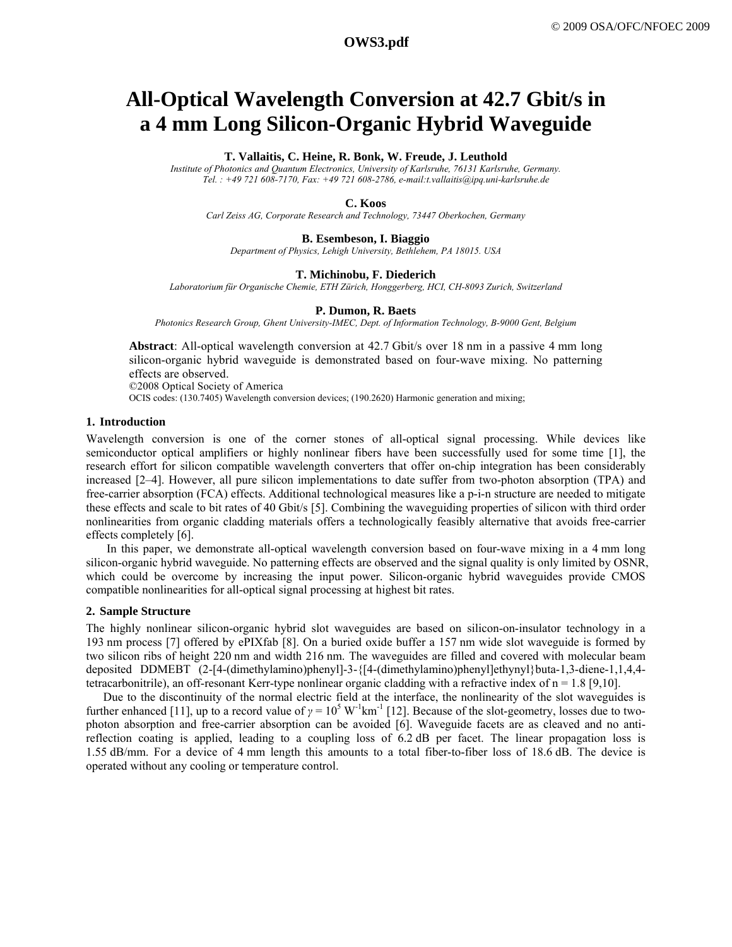# **All-Optical Wavelength Conversion at 42.7 Gbit/s in a 4 mm Long Silicon-Organic Hybrid Waveguide**

#### **T. Vallaitis, C. Heine, R. Bonk, W. Freude, J. Leuthold**

*Institute of Photonics and Quantum Electronics, University of Karlsruhe, 76131 Karlsruhe, Germany. Tel. : +49 721 608-7170, Fax: +49 721 608-2786, e-mail:t.vallaitis@ipq.uni-karlsruhe.de* 

## **C. Koos**

*Carl Zeiss AG, Corporate Research and Technology, 73447 Oberkochen, Germany* 

### **B. Esembeson, I. Biaggio**

*Department of Physics, Lehigh University, Bethlehem, PA 18015. USA* 

#### **T. Michinobu, F. Diederich** *Laboratorium für Organische Chemie, ETH Zürich, Honggerberg, HCI, CH-8093 Zurich, Switzerland*

#### **P. Dumon, R. Baets**

*Photonics Research Group, Ghent University-IMEC, Dept. of Information Technology, B-9000 Gent, Belgium* 

**Abstract**: All-optical wavelength conversion at 42.7 Gbit/s over 18 nm in a passive 4 mm long silicon-organic hybrid waveguide is demonstrated based on four-wave mixing. No patterning effects are observed.

©2008 Optical Society of America

OCIS codes: (130.7405) Wavelength conversion devices; (190.2620) Harmonic generation and mixing;

## **1. Introduction**

Wavelength conversion is one of the corner stones of all-optical signal processing. While devices like semiconductor optical amplifiers or highly nonlinear fibers have been successfully used for some time [1], the research effort for silicon compatible wavelength converters that offer on-chip integration has been considerably increased [2–4]. However, all pure silicon implementations to date suffer from two-photon absorption (TPA) and free-carrier absorption (FCA) effects. Additional technological measures like a p-i-n structure are needed to mitigate these effects and scale to bit rates of 40 Gbit/s [5]. Combining the waveguiding properties of silicon with third order nonlinearities from organic cladding materials offers a technologically feasibly alternative that avoids free-carrier effects completely [6].

In this paper, we demonstrate all-optical wavelength conversion based on four-wave mixing in a 4 mm long silicon-organic hybrid waveguide. No patterning effects are observed and the signal quality is only limited by OSNR, which could be overcome by increasing the input power. Silicon-organic hybrid waveguides provide CMOS compatible nonlinearities for all-optical signal processing at highest bit rates.

## **2. Sample Structure**

The highly nonlinear silicon-organic hybrid slot waveguides are based on silicon-on-insulator technology in a 193 nm process [7] offered by ePIXfab [8]. On a buried oxide buffer a 157 nm wide slot waveguide is formed by two silicon ribs of height 220 nm and width 216 nm. The waveguides are filled and covered with molecular beam deposited DDMEBT (2-[4-(dimethylamino)phenyl]-3-{[4-(dimethylamino)phenyl]ethynyl}buta-1,3-diene-1,1,4,4 tetracarbonitrile), an off-resonant Kerr-type nonlinear organic cladding with a refractive index of  $n = 1.8$  [9,10].

Due to the discontinuity of the normal electric field at the interface, the nonlinearity of the slot waveguides is further enhanced [11], up to a record value of  $\gamma = 10^5 \text{ W}^{-1} \text{km}^{-1}$  [12]. Because of the slot-geometry, losses due to twophoton absorption and free-carrier absorption can be avoided [6]. Waveguide facets are as cleaved and no antireflection coating is applied, leading to a coupling loss of 6.2 dB per facet. The linear propagation loss is 1.55 dB/mm. For a device of 4 mm length this amounts to a total fiber-to-fiber loss of 18.6 dB. The device is operated without any cooling or temperature control.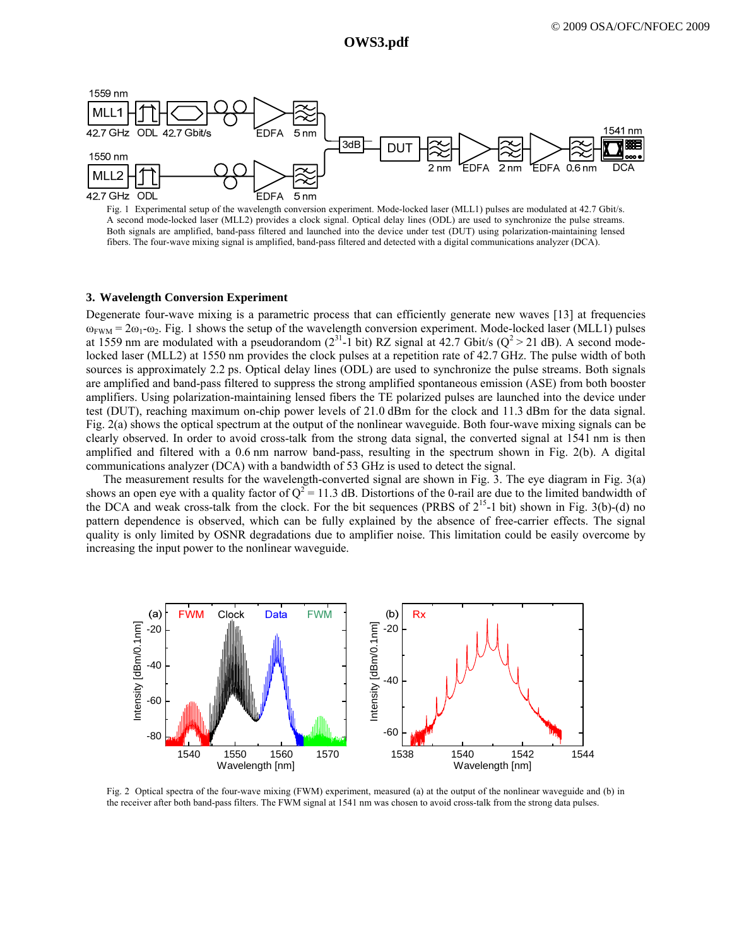**a2096\_1.pdf OWS3.pdf OWS3.pdf** 



Fig. 1 Experimental setup of the wavelength conversion experiment. Mode-locked laser (MLL1) pulses are modulated at 42.7 Gbit/s. A second mode-locked laser (MLL2) provides a clock signal. Optical delay lines (ODL) are used to synchronize the pulse streams. Both signals are amplified, band-pass filtered and launched into the device under test (DUT) using polarization-maintaining lensed fibers. The four-wave mixing signal is amplified, band-pass filtered and detected with a digital communications analyzer (DCA).

## **3. Wavelength Conversion Experiment**

Degenerate four-wave mixing is a parametric process that can efficiently generate new waves [13] at frequencies  $\omega_{\text{FWM}} = 2\omega_1 - \omega_2$ . Fig. 1 shows the setup of the wavelength conversion experiment. Mode-locked laser (MLL1) pulses at 1559 nm are modulated with a pseudorandom ( $2^{31}$ -1 bit) RZ signal at 42.7 Gbit/s ( $Q^2 > 21$  dB). A second modelocked laser (MLL2) at 1550 nm provides the clock pulses at a repetition rate of 42.7 GHz. The pulse width of both sources is approximately 2.2 ps. Optical delay lines (ODL) are used to synchronize the pulse streams. Both signals are amplified and band-pass filtered to suppress the strong amplified spontaneous emission (ASE) from both booster amplifiers. Using polarization-maintaining lensed fibers the TE polarized pulses are launched into the device under test (DUT), reaching maximum on-chip power levels of 21.0 dBm for the clock and 11.3 dBm for the data signal. Fig. 2(a) shows the optical spectrum at the output of the nonlinear waveguide. Both four-wave mixing signals can be clearly observed. In order to avoid cross-talk from the strong data signal, the converted signal at 1541 nm is then amplified and filtered with a 0.6 nm narrow band-pass, resulting in the spectrum shown in Fig. 2(b). A digital communications analyzer (DCA) with a bandwidth of 53 GHz is used to detect the signal.

The measurement results for the wavelength-converted signal are shown in Fig. 3. The eye diagram in Fig. 3(a) shows an open eye with a quality factor of  $Q^2 = 11.3$  dB. Distortions of the 0-rail are due to the limited bandwidth of the DCA and weak cross-talk from the clock. For the bit sequences (PRBS of  $2^{15}$ -1 bit) shown in Fig. 3(b)-(d) no pattern dependence is observed, which can be fully explained by the absence of free-carrier effects. The signal quality is only limited by OSNR degradations due to amplifier noise. This limitation could be easily overcome by increasing the input power to the nonlinear waveguide.



Fig. 2 Optical spectra of the four-wave mixing (FWM) experiment, measured (a) at the output of the nonlinear waveguide and (b) in the receiver after both band-pass filters. The FWM signal at 1541 nm was chosen to avoid cross-talk from the strong data pulses.